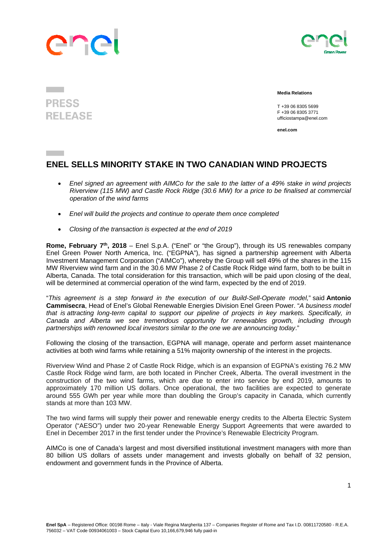## Ine



## **PRESS RELEASE**

 **Media Relations** 

 T +39 06 8305 5699 F +39 06 8305 3771 ufficiostampa@enel.com

**enel.com**

## **ENEL SELLS MINORITY STAKE IN TWO CANADIAN WIND PROJECTS**

- *Enel signed an agreement with AIMCo for the sale to the latter of a 49% stake in wind projects Riverview (115 MW) and Castle Rock Ridge (30.6 MW) for a price to be finalised at commercial operation of the wind farms*
- *Enel will build the projects and continue to operate them once completed*
- *Closing of the transaction is expected at the end of 2019*

**Rome, February 7th, 2018** – Enel S.p.A. ("Enel" or "the Group"), through its US renewables company Enel Green Power North America, Inc. ("EGPNA"), has signed a partnership agreement with Alberta Investment Management Corporation ("AIMCo"), whereby the Group will sell 49% of the shares in the 115 MW Riverview wind farm and in the 30.6 MW Phase 2 of Castle Rock Ridge wind farm, both to be built in Alberta, Canada. The total consideration for this transaction, which will be paid upon closing of the deal, will be determined at commercial operation of the wind farm, expected by the end of 2019.

"*This agreement is a step forward in the execution of our Build-Sell-Operate model,*" said **Antonio Cammisecra**, Head of Enel's Global Renewable Energies Division Enel Green Power. "*A business model that is attracting long-term capital to support our pipeline of projects in key markets. Specifically, in Canada and Alberta we see tremendous opportunity for renewables growth, including through partnerships with renowned local investors similar to the one we are announcing today*."

Following the closing of the transaction, EGPNA will manage, operate and perform asset maintenance activities at both wind farms while retaining a 51% majority ownership of the interest in the projects.

Riverview Wind and Phase 2 of Castle Rock Ridge, which is an expansion of EGPNA's existing 76.2 MW Castle Rock Ridge wind farm, are both located in Pincher Creek, Alberta. The overall investment in the construction of the two wind farms, which are due to enter into service by end 2019, amounts to approximately 170 million US dollars. Once operational, the two facilities are expected to generate around 555 GWh per year while more than doubling the Group's capacity in Canada, which currently stands at more than 103 MW.

The two wind farms will supply their power and renewable energy credits to the Alberta Electric System Operator ("AESO") under two 20-year Renewable Energy Support Agreements that were awarded to Enel in December 2017 in the first tender under the Province's Renewable Electricity Program.

AIMCo is one of Canada's largest and most diversified institutional investment managers with more than 80 billion US dollars of assets under management and invests globally on behalf of 32 pension, endowment and government funds in the Province of Alberta.